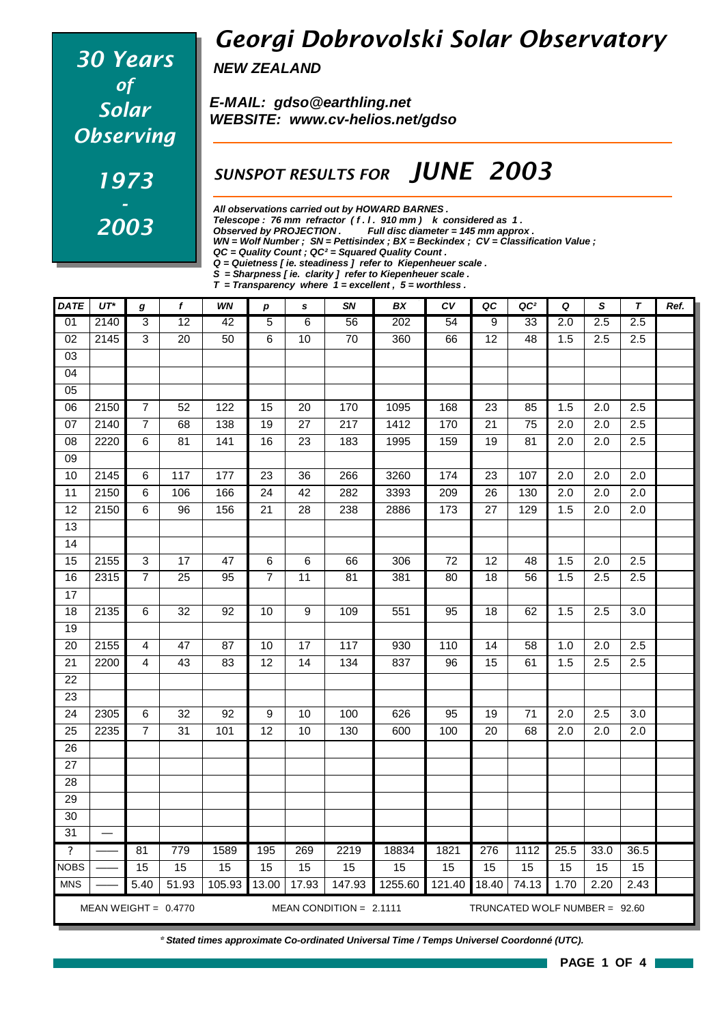# *30 Years of Solar Observing 1973 - 2003*

### *Georgi Dobrovolski Solar Observatory*

*NEW ZEALAND*

*E-MAIL: gdso@earthling.net WEBSITE: www.cv-helios.net/gdso*

#### *SUNSPOT RESULTS FOR JUNE 2003*

*All observations carried out by HOWARD BARNES .*

*Telescope : 76 mm refractor ( f . l . 910 mm ) k considered as 1 .*

*Observed by PROJECTION . Full disc diameter = 145 mm approx .*

*WN = Wolf Number ; SN = Pettisindex ; BX = Beckindex ; CV = Classification Value ;*

| <b>DATE</b>               | $UT^*$ | g              | $\mathbf f$       | WN   | $\boldsymbol{p}$ | s               | <b>SN</b>       | <b>BX</b> | ĊV   | QC              | QC <sup>2</sup> | Q                | S                | $\overline{r}$   | Ref. |
|---------------------------|--------|----------------|-------------------|------|------------------|-----------------|-----------------|-----------|------|-----------------|-----------------|------------------|------------------|------------------|------|
| 01                        | 2140   | $\overline{3}$ | $\overline{12}$   | 42   | 5                | 6               | 56              | 202       | 54   | 9               | 33              | 2.0              | 2.5              | 2.5              |      |
| 02                        | 2145   | 3              | 20                | 50   | 6                | 10              | 70              | 360       | 66   | 12              | 48              | 1.5              | 2.5              | 2.5              |      |
| 03                        |        |                |                   |      |                  |                 |                 |           |      |                 |                 |                  |                  |                  |      |
| 04                        |        |                |                   |      |                  |                 |                 |           |      |                 |                 |                  |                  |                  |      |
| 05                        |        |                |                   |      |                  |                 |                 |           |      |                 |                 |                  |                  |                  |      |
| 06                        | 2150   | $\overline{7}$ | 52                | 122  | 15               | 20              | 170             | 1095      | 168  | 23              | 85              | 1.5              | 2.0              | 2.5              |      |
| 07                        | 2140   | $\overline{7}$ | 68                | 138  | $\overline{19}$  | $\overline{27}$ | 217             | 1412      | 170  | $\overline{21}$ | 75              | $\overline{2.0}$ | $\overline{2.0}$ | $\overline{2.5}$ |      |
| 08                        | 2220   | 6              | 81                | 141  | 16               | 23              | 183             | 1995      | 159  | 19              | 81              | 2.0              | 2.0              | 2.5              |      |
| 09                        |        |                |                   |      |                  |                 |                 |           |      |                 |                 |                  |                  |                  |      |
| 10                        | 2145   | 6              | $\frac{117}{117}$ | 177  | 23               | 36              | 266             | 3260      | 174  | 23              | 107             | 2.0              | 2.0              | $\overline{2.0}$ |      |
| 11                        | 2150   | 6              | 106               | 166  | 24               | 42              | 282             | 3393      | 209  | 26              | 130             | 2.0              | 2.0              | 2.0              |      |
| 12                        | 2150   | 6              | 96                | 156  | 21               | 28              | 238             | 2886      | 173  | 27              | 129             | 1.5              | 2.0              | 2.0              |      |
| 13                        |        |                |                   |      |                  |                 |                 |           |      |                 |                 |                  |                  |                  |      |
| 14                        |        |                |                   |      |                  |                 |                 |           |      |                 |                 |                  |                  |                  |      |
| 15                        | 2155   | 3              | 17                | 47   | 6                | 6               | 66              | 306       | 72   | 12              | 48              | 1.5              | 2.0              | 2.5              |      |
| 16                        | 2315   | $\overline{7}$ | 25                | 95   | $\overline{7}$   | 11              | $\overline{81}$ | 381       | 80   | $\overline{18}$ | 56              | 1.5              | 2.5              | 2.5              |      |
| 17                        |        |                |                   |      |                  |                 |                 |           |      |                 |                 |                  |                  |                  |      |
| 18                        | 2135   | 6              | 32                | 92   | 10               | 9               | 109             | 551       | 95   | 18              | 62              | 1.5              | 2.5              | 3.0              |      |
| 19                        |        |                |                   |      |                  |                 |                 |           |      |                 |                 |                  |                  |                  |      |
| 20                        | 2155   | 4              | 47                | 87   | 10               | 17              | 117             | 930       | 110  | 14              | 58              | 1.0              | 2.0              | 2.5              |      |
| 21                        | 2200   | $\overline{4}$ | 43                | 83   | 12               | $\overline{14}$ | 134             | 837       | 96   | $\overline{15}$ | 61              | 1.5              | 2.5              | 2.5              |      |
| 22                        |        |                |                   |      |                  |                 |                 |           |      |                 |                 |                  |                  |                  |      |
| 23                        |        |                |                   |      |                  |                 |                 |           |      |                 |                 |                  |                  |                  |      |
| 24                        | 2305   | 6              | 32                | 92   | 9                | 10              | 100             | 626       | 95   | 19              | 71              | 2.0              | 2.5              | 3.0              |      |
| 25                        | 2235   | $\overline{7}$ | 31                | 101  | 12               | 10              | 130             | 600       | 100  | 20              | 68              | 2.0              | 2.0              | 2.0              |      |
| 26                        |        |                |                   |      |                  |                 |                 |           |      |                 |                 |                  |                  |                  |      |
| 27                        |        |                |                   |      |                  |                 |                 |           |      |                 |                 |                  |                  |                  |      |
| 28                        |        |                |                   |      |                  |                 |                 |           |      |                 |                 |                  |                  |                  |      |
| 29                        |        |                |                   |      |                  |                 |                 |           |      |                 |                 |                  |                  |                  |      |
| 30                        |        |                |                   |      |                  |                 |                 |           |      |                 |                 |                  |                  |                  |      |
| 31                        |        |                |                   |      |                  |                 |                 |           |      |                 |                 |                  |                  |                  |      |
| $\boldsymbol{\mathsf{?}}$ |        | 81             | 779               | 1589 | 195              | 269             | 2219            | 18834     | 1821 | 276             | 1112            | 25.5             | 33.0             | 36.5             |      |
| <b>NOBS</b>               |        | 15             | 15                | 15   | 15               | 15              | 15              | 15        | 15   | 15              | 15              | 15               | 15               | 15               |      |

*\* Stated times approximate Co-ordinated Universal Time / Temps Universel Coordonné (UTC).*

MEAN WEIGHT = 0.4770 MEAN CONDITION = 2.1111 TRUNCATED WOLF NUMBER = 92.60

MNS | —— **|** 5.40 | 51.93 | 105.93 | 13.00 | 17.93 | 147.93 | 1255.60 | 121.40 | 18.40 | 74.13 | 1.70 | 2.20 | 2.43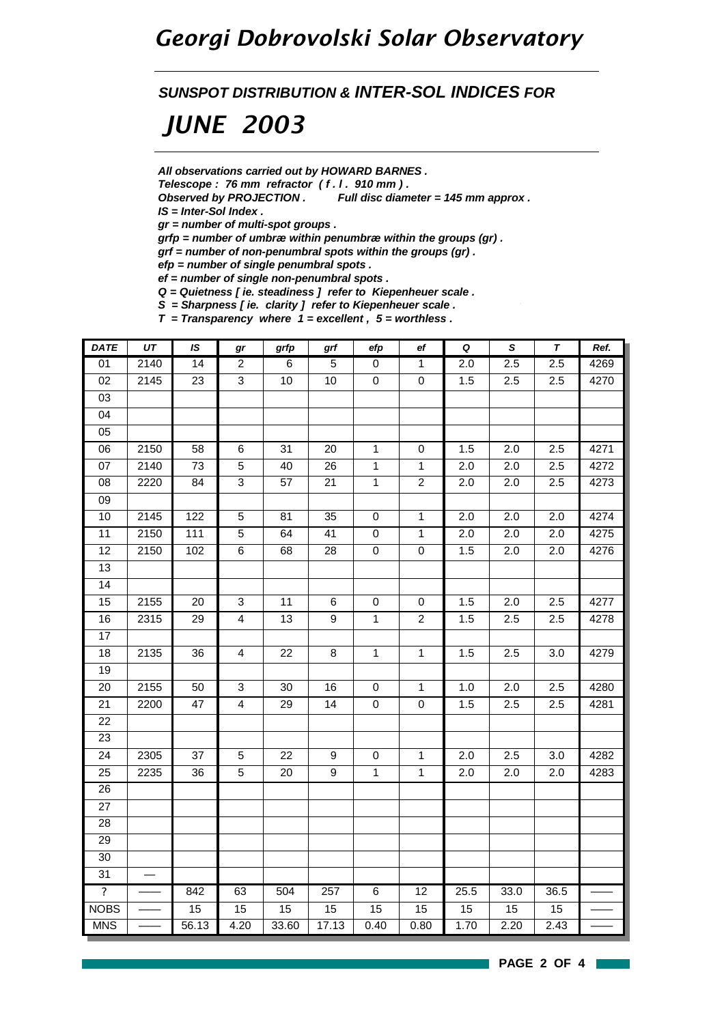#### *Georgi Dobrovolski Solar Observatory*

*SUNSPOT DISTRIBUTION & INTER-SOL INDICES FOR*

## *JUNE 2003*

*All observations carried out by HOWARD BARNES .*

*Telescope : 76 mm refractor ( f . l . 910 mm ) .*

*Observed by PROJECTION . Full disc diameter = 145 mm approx .*

*IS = Inter-Sol Index .*

*gr = number of multi-spot groups .*

*grfp = number of umbræ within penumbræ within the groups (gr) .*

*grf = number of non-penumbral spots within the groups (gr) .*

*efp = number of single penumbral spots .*

*ef = number of single non-penumbral spots .*

*Q = Quietness [ ie. steadiness ] refer to Kiepenheuer scale .*

*S = Sharpness [ ie. clarity ] refer to Kiepenheuer scale .*

*T = Transparency where 1 = excellent , 5 = worthless .*

| <b>DATE</b>             | UT   | IS               | gr             | grfp            | grf              | efp            | ef               | $\pmb Q$ | $\pmb{\mathsf{s}}$ | T    | Ref. |
|-------------------------|------|------------------|----------------|-----------------|------------------|----------------|------------------|----------|--------------------|------|------|
| 01                      | 2140 | 14               | $\overline{2}$ | $\overline{6}$  | $\overline{5}$   | 0              | $\overline{1}$   | 2.0      | 2.5                | 2.5  | 4269 |
| 02                      | 2145 | 23               | $\overline{3}$ | 10              | 10               | $\pmb{0}$      | $\pmb{0}$        | 1.5      | 2.5                | 2.5  | 4270 |
| 03                      |      |                  |                |                 |                  |                |                  |          |                    |      |      |
| 04                      |      |                  |                |                 |                  |                |                  |          |                    |      |      |
| 05                      |      |                  |                |                 |                  |                |                  |          |                    |      |      |
| 06                      | 2150 | 58               | 6              | 31              | 20               | $\mathbf{1}$   | 0                | 1.5      | 2.0                | 2.5  | 4271 |
| 07                      | 2140 | 73               | 5              | 40              | 26               | $\mathbf{1}$   | $\mathbf{1}$     | 2.0      | 2.0                | 2.5  | 4272 |
| 08                      | 2220 | $\overline{84}$  | $\overline{3}$ | $\overline{57}$ | $\overline{21}$  | $\overline{1}$ | $\overline{2}$   | 2.0      | $\overline{2.0}$   | 2.5  | 4273 |
| 09                      |      |                  |                |                 |                  |                |                  |          |                    |      |      |
| 10                      | 2145 | $\overline{1}22$ | 5              | 81              | 35               | $\pmb{0}$      | $\mathbf{1}$     | 2.0      | 2.0                | 2.0  | 4274 |
| $\overline{11}$         | 2150 | 111              | $\overline{5}$ | 64              | $\overline{41}$  | $\pmb{0}$      | $\mathbf{1}$     | 2.0      | $\overline{2.0}$   | 2.0  | 4275 |
| 12                      | 2150 | 102              | 6              | 68              | 28               | $\pmb{0}$      | $\pmb{0}$        | 1.5      | 2.0                | 2.0  | 4276 |
| 13                      |      |                  |                |                 |                  |                |                  |          |                    |      |      |
| $\overline{14}$         |      |                  |                |                 |                  |                |                  |          |                    |      |      |
| $\overline{15}$         | 2155 | 20               | $\overline{3}$ | 11              | 6                | $\mathbf 0$    | 0                | 1.5      | 2.0                | 2.5  | 4277 |
| 16                      | 2315 | 29               | $\overline{4}$ | $\overline{13}$ | 9                | $\overline{1}$ | $\boldsymbol{2}$ | 1.5      | 2.5                | 2.5  | 4278 |
| 17                      |      |                  |                |                 |                  |                |                  |          |                    |      |      |
| $\overline{18}$         | 2135 | 36               | $\overline{4}$ | 22              | 8                | $\mathbf{1}$   | 1                | 1.5      | 2.5                | 3.0  | 4279 |
| 19                      |      |                  |                |                 |                  |                |                  |          |                    |      |      |
| 20                      | 2155 | 50               | 3              | 30              | 16               | $\pmb{0}$      | $\mathbf{1}$     | 1.0      | 2.0                | 2.5  | 4280 |
| $\overline{21}$         | 2200 | 47               | $\overline{4}$ | 29              | $\overline{14}$  | $\pmb{0}$      | $\mathsf 0$      | 1.5      | 2.5                | 2.5  | 4281 |
| $\overline{22}$         |      |                  |                |                 |                  |                |                  |          |                    |      |      |
| 23                      |      |                  |                |                 |                  |                |                  |          |                    |      |      |
| 24                      | 2305 | 37               | 5              | 22              | $\boldsymbol{9}$ | $\pmb{0}$      | 1                | 2.0      | 2.5                | 3.0  | 4282 |
| 25                      | 2235 | 36               | $\overline{5}$ | 20              | $\boldsymbol{9}$ | $\mathbf{1}$   | $\mathbf{1}$     | 2.0      | 2.0                | 2.0  | 4283 |
| 26                      |      |                  |                |                 |                  |                |                  |          |                    |      |      |
| 27                      |      |                  |                |                 |                  |                |                  |          |                    |      |      |
| 28                      |      |                  |                |                 |                  |                |                  |          |                    |      |      |
| $\overline{29}$         |      |                  |                |                 |                  |                |                  |          |                    |      |      |
| 30                      |      |                  |                |                 |                  |                |                  |          |                    |      |      |
| 31                      |      |                  |                |                 |                  |                |                  |          |                    |      |      |
| $\overline{\mathbf{?}}$ |      | 842              | 63             | 504             | 257              | 6              | 12               | 25.5     | 33.0               | 36.5 |      |
| <b>NOBS</b>             |      | 15               | 15             | 15              | 15               | 15             | 15               | 15       | 15                 | 15   |      |
| <b>MNS</b>              |      | 56.13            | 4.20           | 33.60           | 17.13            | 0.40           | 0.80             | 1.70     | 2.20               | 2.43 |      |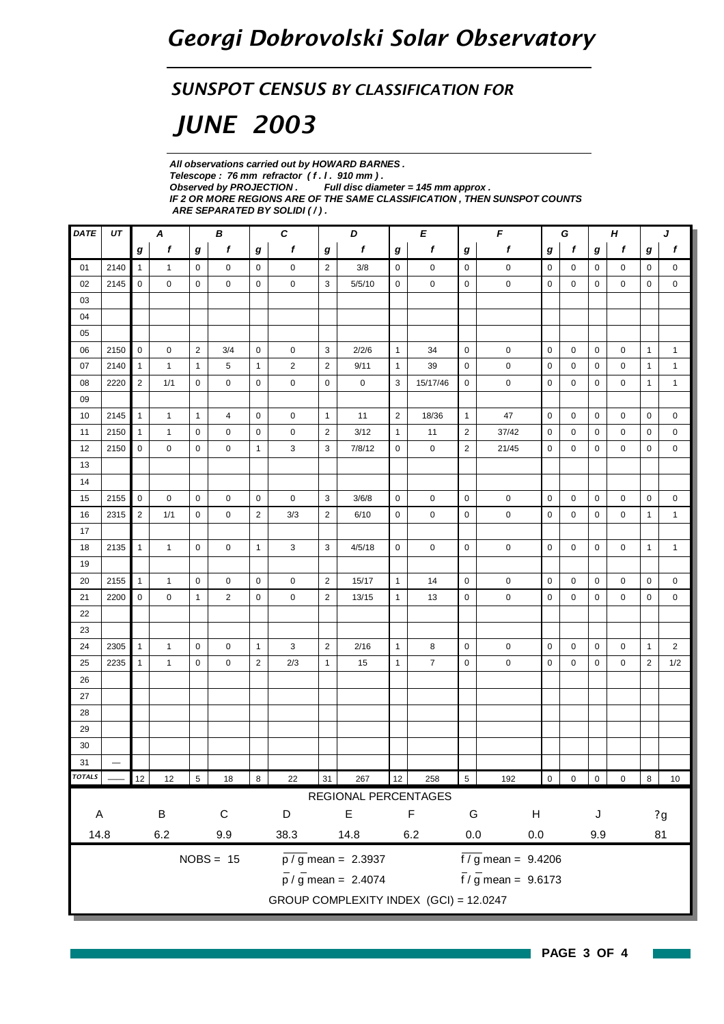#### *SUNSPOT CENSUS BY CLASSIFICATION FOR*

# *JUNE 2003*

*All observations carried out by HOWARD BARNES . Telescope : 76 mm refractor ( f . l . 910 mm ) . Observed by PROJECTION . Full disc diameter = 145 mm approx . IF 2 OR MORE REGIONS ARE OF THE SAME CLASSIFICATION , THEN SUNSPOT COUNTS ARE SEPARATED BY SOLIDI ( / ) .*

| DATE                        | UT                       | В<br>Α         |              |                |                | $\boldsymbol{c}$ | D<br>E         |                  |                                           | $\pmb{\mathit{F}}$ |                | G              |                                    | H              |             | J           |           |                |                  |
|-----------------------------|--------------------------|----------------|--------------|----------------|----------------|------------------|----------------|------------------|-------------------------------------------|--------------------|----------------|----------------|------------------------------------|----------------|-------------|-------------|-----------|----------------|------------------|
|                             |                          | g              | f            | g              | f              | $\boldsymbol{g}$ | $\mathbf f$    | $\boldsymbol{g}$ | f                                         | g                  | f              | g              | f                                  | g              | f           | g           | f         | g              | $\boldsymbol{f}$ |
| 01                          | 2140                     | $\mathbf{1}$   | $\mathbf{1}$ | $\mathbf 0$    | 0              | $\mathbf 0$      | $\mathbf 0$    | $\overline{2}$   | 3/8                                       | 0                  | $\mathbf 0$    | $\mathsf 0$    | $\pmb{0}$                          | 0              | 0           | 0           | 0         | 0              | 0                |
| 02                          | 2145                     | 0              | 0            | 0              | $\mathbf 0$    | $\mathbf 0$      | 0              | 3                | 5/5/10                                    | $\mathbf 0$        | $\mathbf 0$    | $\mathsf 0$    | $\mathbf 0$                        | $\mathbf 0$    | $\mathbf 0$ | 0           | 0         | 0              | $\mathbf 0$      |
| 03                          |                          |                |              |                |                |                  |                |                  |                                           |                    |                |                |                                    |                |             |             |           |                |                  |
| 04                          |                          |                |              |                |                |                  |                |                  |                                           |                    |                |                |                                    |                |             |             |           |                |                  |
| 05                          |                          |                |              |                |                |                  |                |                  |                                           |                    |                |                |                                    |                |             |             |           |                |                  |
| 06                          | 2150                     | $\mathbf 0$    | 0            | $\overline{2}$ | 3/4            | 0                | $\mathbf 0$    | 3                | 2/2/6                                     | $\mathbf{1}$       | 34             | $\mathsf 0$    | $\mathbf 0$                        | $\mathbf 0$    | $\mathbf 0$ | $\mathbf 0$ | 0         | $\mathbf{1}$   | $\mathbf{1}$     |
| 07                          | 2140                     | $\mathbf{1}$   | $\mathbf{1}$ | $\mathbf{1}$   | 5              | $\mathbf{1}$     | $\overline{2}$ | $\overline{2}$   | 9/11                                      | $\mathbf{1}$       | 39             | $\mathbf 0$    | $\pmb{0}$                          | $\mathbf 0$    | 0           | 0           | 0         | 1              | $\mathbf{1}$     |
| 08                          | 2220                     | $\overline{2}$ | 1/1          | 0              | 0              | 0                | 0              | 0                | 0                                         | 3                  | 15/17/46       | 0              | 0                                  | $\mathbf 0$    | 0           | 0           | 0         | $\mathbf{1}$   | $\mathbf{1}$     |
| 09                          |                          |                |              |                |                |                  |                |                  |                                           |                    |                |                |                                    |                |             |             |           |                |                  |
| 10                          | 2145                     | $\mathbf{1}$   | $\mathbf{1}$ | $\mathbf{1}$   | 4              | 0                | $\mathbf 0$    | $\mathbf{1}$     | 11                                        | $\overline{2}$     | 18/36          | $\mathbf{1}$   | 47                                 | $\mathbf 0$    | 0           | $\mathbf 0$ | 0         | 0              | 0                |
| 11                          | 2150                     | $\mathbf{1}$   | $\mathbf{1}$ | $\mathbf 0$    | 0              | 0                | $\mathbf 0$    | $\overline{2}$   | 3/12                                      | $\mathbf{1}$       | 11             | $\overline{2}$ | 37/42                              | $\mathbf 0$    | $\mathbf 0$ | $\mathbf 0$ | 0         | 0              | $\mathbf 0$      |
| 12                          | 2150                     | 0              | 0            | 0              | 0              | $\mathbf{1}$     | 3              | 3                | 7/8/12                                    | 0                  | 0              | $\overline{2}$ | 21/45                              | 0              | 0           | 0           | 0         | 0              | 0                |
| 13                          |                          |                |              |                |                |                  |                |                  |                                           |                    |                |                |                                    |                |             |             |           |                |                  |
| 14                          |                          |                |              |                |                |                  |                |                  |                                           |                    |                |                |                                    |                |             |             |           |                |                  |
| 15                          | 2155                     | 0              | 0            | $\mathbf 0$    | 0              | 0                | $\mathbf 0$    | 3                | 3/6/8                                     | $\mathbf 0$        | 0              | $\mathbf 0$    | $\pmb{0}$                          | $\mathbf 0$    | $\mathbf 0$ | $\mathbf 0$ | 0         | 0              | $\mathbf 0$      |
| 16                          | 2315                     | $\overline{2}$ | 1/1          | $\mathbf 0$    | 0              | $\overline{2}$   | 3/3            | $\overline{2}$   | 6/10                                      | $\mathbf 0$        | 0              | $\mathbf 0$    | 0                                  | $\mathbf 0$    | $\mathbf 0$ | $\mathbf 0$ | 0         | $\mathbf{1}$   | $\mathbf{1}$     |
| 17                          |                          |                |              |                |                |                  |                |                  |                                           |                    |                |                |                                    |                |             |             |           |                |                  |
| 18                          | 2135                     | $\mathbf{1}$   | $\mathbf{1}$ | $\mathbf 0$    | 0              | $\mathbf{1}$     | 3              | 3                | 4/5/18                                    | $\mathbf 0$        | 0              | $\mathsf 0$    | 0                                  | 0              | $\mathbf 0$ | $\mathbf 0$ | 0         | $\mathbf{1}$   | $\mathbf{1}$     |
| 19                          |                          |                |              |                |                |                  |                |                  |                                           |                    |                |                |                                    |                |             |             |           |                |                  |
| 20                          | 2155                     | $\mathbf{1}$   | $\mathbf{1}$ | $\mathbf 0$    | 0              | $\mathsf{O}$     | $\mathbf 0$    | $\overline{2}$   | 15/17                                     | $\mathbf{1}$       | 14             | $\mathbf 0$    | $\pmb{0}$                          | 0              | 0           | $\mathbf 0$ | 0         | $\mathbf 0$    | 0                |
| 21                          | 2200                     | $\mathbf 0$    | 0            | $\mathbf{1}$   | $\overline{2}$ | 0                | 0              | $\overline{2}$   | 13/15                                     | $\mathbf{1}$       | 13             | $\mathsf 0$    | $\pmb{0}$                          | 0              | $\mathbf 0$ | $\mathbf 0$ | 0         | $\mathbf 0$    | $\mathbf 0$      |
| 22                          |                          |                |              |                |                |                  |                |                  |                                           |                    |                |                |                                    |                |             |             |           |                |                  |
| 23                          |                          |                |              |                |                |                  |                |                  |                                           |                    |                |                |                                    |                |             |             |           |                |                  |
| 24                          | 2305                     | $\mathbf{1}$   | $\mathbf{1}$ | $\mathbf 0$    | 0              | $\mathbf{1}$     | 3              | $\overline{2}$   | 2/16                                      | $\mathbf{1}$       | 8              | $\mathbf 0$    | $\pmb{0}$                          | $\mathbf 0$    | $\mathbf 0$ | $\mathbf 0$ | 0         | $\mathbf{1}$   | $\overline{2}$   |
| 25                          | 2235                     | $\mathbf{1}$   | $\mathbf{1}$ | $\mathbf 0$    | 0              | $\overline{2}$   | 2/3            | $\mathbf{1}$     | 15                                        | $\mathbf{1}$       | $\overline{7}$ | $\pmb{0}$      | $\pmb{0}$                          | 0              | $\mathbf 0$ | 0           | 0         | $\overline{2}$ | 1/2              |
| 26                          |                          |                |              |                |                |                  |                |                  |                                           |                    |                |                |                                    |                |             |             |           |                |                  |
| 27                          |                          |                |              |                |                |                  |                |                  |                                           |                    |                |                |                                    |                |             |             |           |                |                  |
| 28                          |                          |                |              |                |                |                  |                |                  |                                           |                    |                |                |                                    |                |             |             |           |                |                  |
| 29                          |                          |                |              |                |                |                  |                |                  |                                           |                    |                |                |                                    |                |             |             |           |                |                  |
| 30                          |                          |                |              |                |                |                  |                |                  |                                           |                    |                |                |                                    |                |             |             |           |                |                  |
| 31                          | $\overline{\phantom{0}}$ |                |              |                |                |                  |                |                  |                                           |                    |                |                |                                    |                |             |             |           |                |                  |
| TOTALS _                    |                          | 12             | 12           | $\overline{5}$ | 18             | $\infty$         | 22             | 31               | 267                                       | 12                 | 258            | $\overline{5}$ | 192                                | $\overline{0}$ | $0$ 0       |             | $\pmb{0}$ | $\infty$       | $10$             |
|                             |                          |                |              |                |                |                  |                |                  | REGIONAL PERCENTAGES                      |                    |                |                |                                    |                |             |             |           |                |                  |
| $\sf B$<br>$\mathsf C$<br>A |                          |                | D            |                | E              |                  | $\mathsf F$    |                  | G<br>H                                    |                    |                |                | J                                  |                | 2g          |             |           |                |                  |
| 14.8                        |                          |                | $6.2\,$      |                | 9.9            |                  | 38.3           |                  | 14.8                                      |                    | $6.2\,$        | $0.0\,$        | $0.0\,$                            |                |             | 81<br>9.9   |           |                |                  |
|                             |                          |                |              |                |                |                  |                |                  |                                           |                    |                |                |                                    |                |             |             |           |                |                  |
|                             |                          |                |              |                | $NOBS = 15$    |                  |                |                  | $\overline{p}/\overline{g}$ mean = 2.3937 |                    |                |                | $\frac{1}{2}$ mean = 9.4206        |                |             |             |           |                |                  |
|                             |                          |                |              |                |                |                  |                |                  | $\frac{1}{p}$ / g mean = 2.4074           |                    |                |                | $\frac{1}{\sqrt{5}}$ mean = 9.6173 |                |             |             |           |                |                  |
|                             |                          |                |              |                |                |                  |                |                  | GROUP COMPLEXITY INDEX (GCI) = 12.0247    |                    |                |                |                                    |                |             |             |           |                |                  |